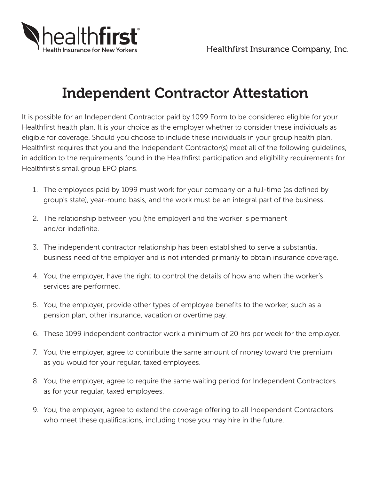

## Independent Contractor Attestation

It is possible for an Independent Contractor paid by 1099 Form to be considered eligible for your Healthfirst health plan. It is your choice as the employer whether to consider these individuals as eligible for coverage. Should you choose to include these individuals in your group health plan, Healthfirst requires that you and the Independent Contractor(s) meet all of the following guidelines, in addition to the requirements found in the Healthfirst participation and eligibility requirements for Healthfirst's small group EPO plans.

- 1. The employees paid by 1099 must work for your company on a full-time (as defined by group's state), year-round basis, and the work must be an integral part of the business.
- 2. The relationship between you (the employer) and the worker is permanent and/or indefinite.
- 3. The independent contractor relationship has been established to serve a substantial business need of the employer and is not intended primarily to obtain insurance coverage.
- 4. You, the employer, have the right to control the details of how and when the worker's services are performed.
- 5. You, the employer, provide other types of employee benefits to the worker, such as a pension plan, other insurance, vacation or overtime pay.
- 6. These 1099 independent contractor work a minimum of 20 hrs per week for the employer.
- 7. You, the employer, agree to contribute the same amount of money toward the premium as you would for your regular, taxed employees.
- 8. You, the employer, agree to require the same waiting period for Independent Contractors as for your regular, taxed employees.
- 9. You, the employer, agree to extend the coverage offering to all Independent Contractors who meet these qualifications, including those you may hire in the future.